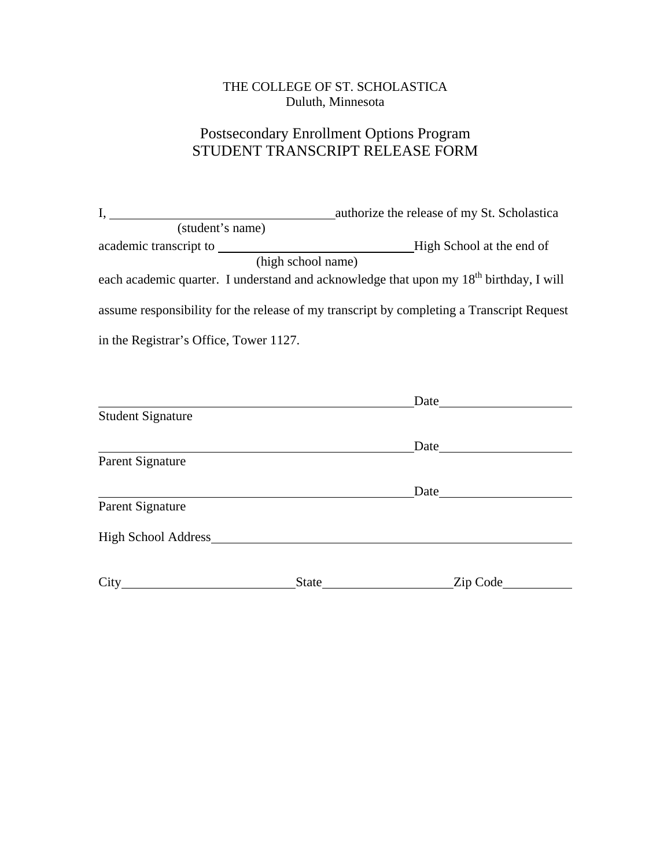### THE COLLEGE OF ST. SCHOLASTICA Duluth, Minnesota

### Postsecondary Enrollment Options Program STUDENT TRANSCRIPT RELEASE FORM

| (student's name)                       |                                                                                                                                                                                                                                           |
|----------------------------------------|-------------------------------------------------------------------------------------------------------------------------------------------------------------------------------------------------------------------------------------------|
|                                        |                                                                                                                                                                                                                                           |
| (high school name)                     |                                                                                                                                                                                                                                           |
|                                        | each academic quarter. I understand and acknowledge that upon my 18 <sup>th</sup> birthday, I will                                                                                                                                        |
|                                        | assume responsibility for the release of my transcript by completing a Transcript Request                                                                                                                                                 |
| in the Registrar's Office, Tower 1127. |                                                                                                                                                                                                                                           |
|                                        |                                                                                                                                                                                                                                           |
|                                        | Date                                                                                                                                                                                                                                      |
| <b>Student Signature</b>               |                                                                                                                                                                                                                                           |
|                                        | Date <u>Date</u>                                                                                                                                                                                                                          |
| Parent Signature                       |                                                                                                                                                                                                                                           |
|                                        | Date and the same state of the state of the state of the state of the state of the state of the state of the state of the state of the state of the state of the state of the state of the state of the state of the state of             |
| Parent Signature                       |                                                                                                                                                                                                                                           |
| High School Address                    |                                                                                                                                                                                                                                           |
|                                        | Zip Code<br>State and the state of the state of the state of the state of the state of the state of the state of the state of the state of the state of the state of the state of the state of the state of the state of the state of the |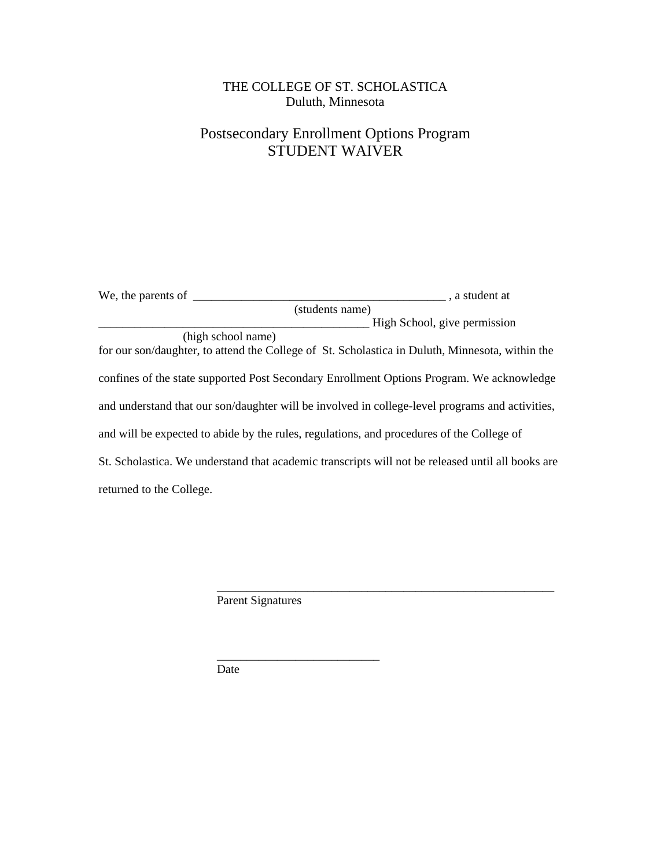### THE COLLEGE OF ST. SCHOLASTICA Duluth, Minnesota

## Postsecondary Enrollment Options Program STUDENT WAIVER

| We, the parents of $\overline{\phantom{a}}$                                                       | a student at                 |  |
|---------------------------------------------------------------------------------------------------|------------------------------|--|
| (students name)                                                                                   |                              |  |
|                                                                                                   | High School, give permission |  |
| (high school name)                                                                                |                              |  |
| for our son/daughter, to attend the College of St. Scholastica in Duluth, Minnesota, within the   |                              |  |
| confines of the state supported Post Secondary Enrollment Options Program. We acknowledge         |                              |  |
| and understand that our son/daughter will be involved in college-level programs and activities,   |                              |  |
| and will be expected to abide by the rules, regulations, and procedures of the College of         |                              |  |
| St. Scholastica. We understand that academic transcripts will not be released until all books are |                              |  |
| returned to the College.                                                                          |                              |  |

\_\_\_\_\_\_\_\_\_\_\_\_\_\_\_\_\_\_\_\_\_\_\_\_\_\_\_\_\_\_\_\_\_\_\_\_\_\_\_\_\_\_\_\_\_\_\_\_\_\_\_\_\_\_\_\_

Parent Signatures

Date

 $\frac{1}{\sqrt{2}}$  ,  $\frac{1}{\sqrt{2}}$  ,  $\frac{1}{\sqrt{2}}$  ,  $\frac{1}{\sqrt{2}}$  ,  $\frac{1}{\sqrt{2}}$  ,  $\frac{1}{\sqrt{2}}$  ,  $\frac{1}{\sqrt{2}}$  ,  $\frac{1}{\sqrt{2}}$  ,  $\frac{1}{\sqrt{2}}$  ,  $\frac{1}{\sqrt{2}}$  ,  $\frac{1}{\sqrt{2}}$  ,  $\frac{1}{\sqrt{2}}$  ,  $\frac{1}{\sqrt{2}}$  ,  $\frac{1}{\sqrt{2}}$  ,  $\frac{1}{\sqrt{2}}$